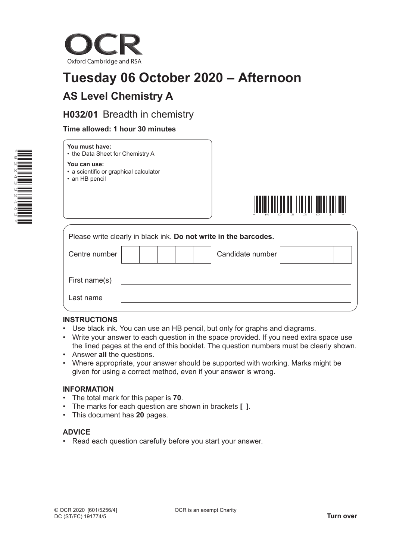

# **Tuesday 06 October 2020 – Afternoon**

### **AS Level Chemistry A**

### **H032/01** Breadth in chemistry

#### **Time allowed: 1 hour 30 minutes**



## **You must have:**

• the Data Sheet for Chemistry A

#### **You can use:**

- a scientific or graphical calculator
- an HB pencil



| Please write clearly in black ink. Do not write in the barcodes. |  |  |  |  |  |                  |  |  |
|------------------------------------------------------------------|--|--|--|--|--|------------------|--|--|
| Centre number                                                    |  |  |  |  |  | Candidate number |  |  |
| First name(s)                                                    |  |  |  |  |  |                  |  |  |
| Last name                                                        |  |  |  |  |  |                  |  |  |

#### **INSTRUCTIONS**

- Use black ink. You can use an HB pencil, but only for graphs and diagrams.
- Write your answer to each question in the space provided. If you need extra space use the lined pages at the end of this booklet. The question numbers must be clearly shown.
- Answer **all** the questions.
- Where appropriate, your answer should be supported with working. Marks might be given for using a correct method, even if your answer is wrong.

#### **INFORMATION**

- The total mark for this paper is **70**.
- The marks for each question are shown in brackets **[ ]**.
- This document has **20** pages.

#### **ADVICE**

• Read each question carefully before you start your answer.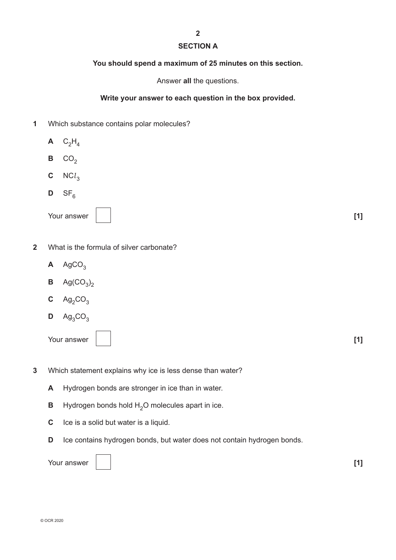### **2 SECTION A**

#### **You should spend a maximum of 25 minutes on this section.**

Answer **all** the questions.

#### **Write your answer to each question in the box provided.**

- **1** Which substance contains polar molecules?
	- $A$  C<sub>2</sub>H<sub>4</sub>  $B$  CO<sub>2</sub>  $C$  NC $l_3$  $D$  SF<sub>6</sub>
	- Your answer **[1] [1] [1]**

- **2** What is the formula of silver carbonate?
	- $\mathsf{A}$  AgCO<sub>3</sub>
	- **B**  $\text{Ag(CO}_3)_2$
	- $C$  Ag<sub>2</sub>CO<sub>3</sub>
	- $D$  Ag<sub>3</sub>CO<sub>3</sub>

- **3** Which statement explains why ice is less dense than water?
	- **A** Hydrogen bonds are stronger in ice than in water.
	- **B** Hydrogen bonds hold  $H_2O$  molecules apart in ice.
	- **C** Ice is a solid but water is a liquid.
	- **D** Ice contains hydrogen bonds, but water does not contain hydrogen bonds.

| Your answer<br>-------- |  | - - - |
|-------------------------|--|-------|
|-------------------------|--|-------|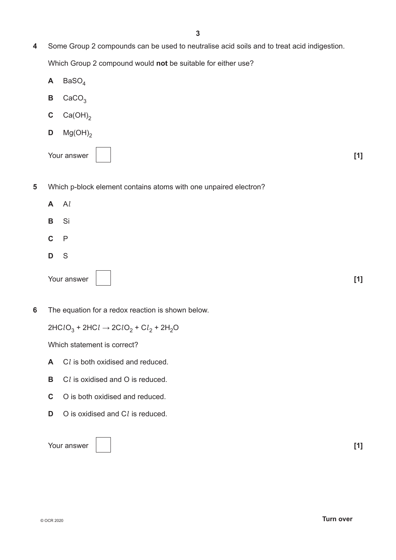- **4** Some Group 2 compounds can be used to neutralise acid soils and to treat acid indigestion. Which Group 2 compound would **not** be suitable for either use?
	- $A$  BaSO<sub> $<sub>A</sub>$ </sub></sub>
	- $B$  CaCO<sub>3</sub>
	- **C**  $Ca(OH)_2$
	- **D**  $Mg(OH)_{2}$

Your answer **[1] [1] [1]** 

- **5** Which p-block element contains atoms with one unpaired electron?
	- **A** A*l* **B** Si **C** P
	- **D** S
	- Your answer **[1] [1]**
- **6** The equation for a redox reaction is shown below.

 $2HClO<sub>3</sub> + 2HCl → 2ClO<sub>2</sub> + Cl<sub>2</sub> + 2H<sub>2</sub>O$ 

Which statement is correct?

- **A** C*l* is both oxidised and reduced.
- **B** C*l* is oxidised and O is reduced.
- **C** O is both oxidised and reduced.
- **D** O is oxidised and C*l* is reduced.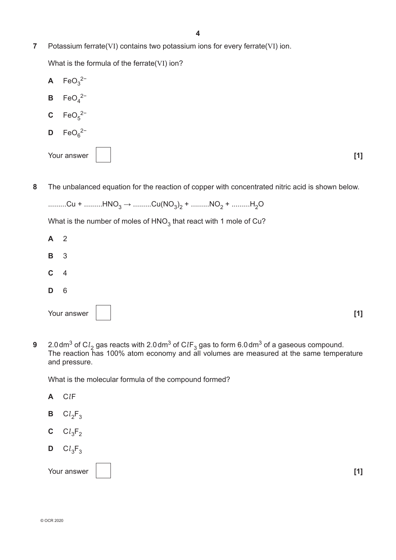**7** Potassium ferrate(VI) contains two potassium ions for every ferrate(VI) ion.

What is the formula of the ferrate(VI) ion?

- $\mathsf{A}$  FeO<sub>3</sub><sup>2−</sup> **B**  $\text{FeO}_4^2$ <sup>-</sup> **C**  $\text{FeO}_5^{2-}$ **D**  $\text{FeO}_6^{2-}$ Your answer **[1] [1] [1]**
- **8** The unbalanced equation for the reaction of copper with concentrated nitric acid is shown below.

What is the number of moles of  $HNO<sub>3</sub>$  that react with 1 mole of Cu?

|             | Your answer     | [1] |
|-------------|-----------------|-----|
| D           | $6\overline{6}$ |     |
| $C \quad 4$ |                 |     |
| <b>B</b> 3  |                 |     |
| $A \quad 2$ |                 |     |

**9** 2.0dm<sup>3</sup> of C $l_2$  gas reacts with 2.0dm<sup>3</sup> of C*l*F<sub>3</sub> gas to form 6.0dm<sup>3</sup> of a gaseous compound. The reaction has 100% atom economy and all volumes are measured at the same temperature and pressure.

What is the molecular formula of the compound formed?

- **A** C*l*F
- **B**  $Cl_2F_3$
- **C**  $Cl_3F_2$
- $D$  C<sub> $l_3$ F<sub>3</sub></sub>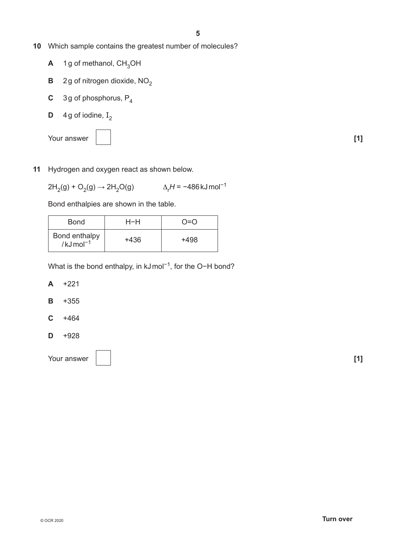- **10** Which sample contains the greatest number of molecules?
	- $A$  1g of methanol,  $CH<sub>3</sub>OH$
	- **B** 2g of nitrogen dioxide,  $NO<sub>2</sub>$
	- **C** 3g of phosphorus, P<sub>4</sub>
	- **D** 4g of iodine,  $I_2$

Your answer **1 1** 



**11** Hydrogen and oxygen react as shown below.

 $2H_2(g) + O_2(g) \rightarrow 2H_2O(g)$  $\Delta_r H$  = −486 kJ mol<sup>-1</sup>

Bond enthalpies are shown in the table.

| <b>Bond</b>                              | H-H  | ∩=∩  |
|------------------------------------------|------|------|
| Bond enthalpy<br>$/kJ$ mol <sup>-1</sup> | +436 | +498 |

What is the bond enthalpy, in kJmol<sup>-1</sup>, for the O-H bond?

- **A** +221
- **B** +355
- **C** +464
- **D** +928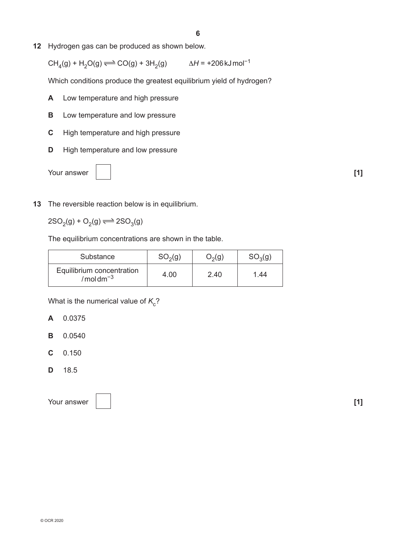**12** Hydrogen gas can be produced as shown below.

CH<sub>4</sub>(g) + H<sub>2</sub>O(g)  $\Longleftrightarrow$  CO(g) + 3H<sub>2</sub>(g)  $\Delta H = +206 \text{ kJ} \text{ mol}^{-1}$ 

Which conditions produce the greatest equilibrium yield of hydrogen?

- **A** Low temperature and high pressure
- **B** Low temperature and low pressure
- **C** High temperature and high pressure
- **D** High temperature and low pressure



**13** The reversible reaction below is in equilibrium.

 $2SO_2(g) + O_2(g) \rightleftharpoons 2SO_3(g)$ 

The equilibrium concentrations are shown in the table.

| Substance                               | SO <sub>2</sub> (g) | $O_2(g)$ | $SO_3(g)$ |
|-----------------------------------------|---------------------|----------|-----------|
| Equilibrium concentration<br>$/moldm-3$ | 4.00                | 2.40     | 1.44      |

What is the numerical value of  $K_c$ ?

- **A** 0.0375
- **B** 0.0540
- **C** 0.150
- **D** 18.5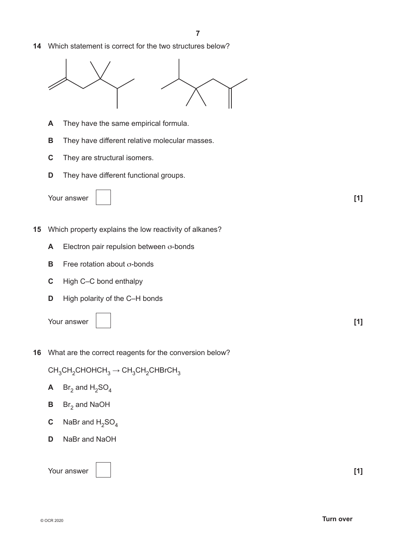**14** Which statement is correct for the two structures below?



- **A** They have the same empirical formula.
- **B** They have different relative molecular masses.
- **C** They are structural isomers.
- **D** They have different functional groups.



- **15** Which property explains the low reactivity of alkanes?
	- **A** Electron pair repulsion between σ-bonds
	- **B** Free rotation about σ-bonds
	- **C** High C–C bond enthalpy
	- **D** High polarity of the C–H bonds

Your answer **[1] [1] [1]** 

**16** What are the correct reagents for the conversion below?

 $CH<sub>3</sub>CH<sub>2</sub>CHOHCH<sub>3</sub> \rightarrow CH<sub>3</sub>CH<sub>2</sub>CHBrCH<sub>3</sub>$ 

- **A** Br<sub>2</sub> and  $H_2SO_4$
- **B** Br<sub>2</sub> and NaOH
- **C** NaBr and  $H_2SO_4$
- **D** NaBr and NaOH

Your answer **1 1**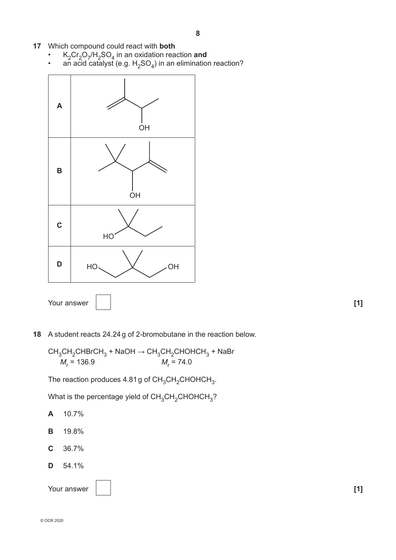- **17** Which compound could react with **both**
	- $K_2Cr_2O_7/H_2SO_4$  in an oxidation reaction **and**
	- an acid catalyst (e.g.  ${\sf H_2SO_4}$ ) in an elimination reaction?





CH<sub>3</sub>CH<sub>2</sub>CHBrCH<sub>3</sub> + NaOH → CH<sub>3</sub>CH<sub>2</sub>CHOHCH<sub>3</sub> + NaBr  

$$
M_r
$$
 = 136.9  $M_r$  = 74.0

The reaction produces  $4.81g$  of CH<sub>3</sub>CH<sub>2</sub>CHOHCH<sub>3</sub>.

What is the percentage yield of  $CH_3CH_2CHOHCH_3$ ?

- **A** 10.7%
- **B** 19.8%
- **C** 36.7%
- **D** 54.1%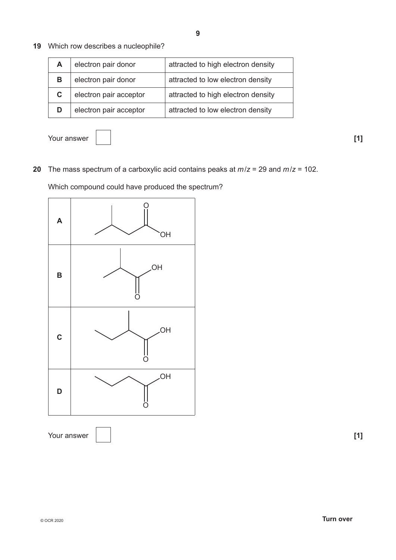**19** Which row describes a nucleophile?

| A  | electron pair donor    | attracted to high electron density |
|----|------------------------|------------------------------------|
| в  | electron pair donor    | attracted to low electron density  |
| C. | electron pair acceptor | attracted to high electron density |
|    | electron pair acceptor | attracted to low electron density  |

Your answer **1 1** 

**20** The mass spectrum of a carboxylic acid contains peaks at *m*/*z* = 29 and *m*/*z* = 102.

Which compound could have produced the spectrum?

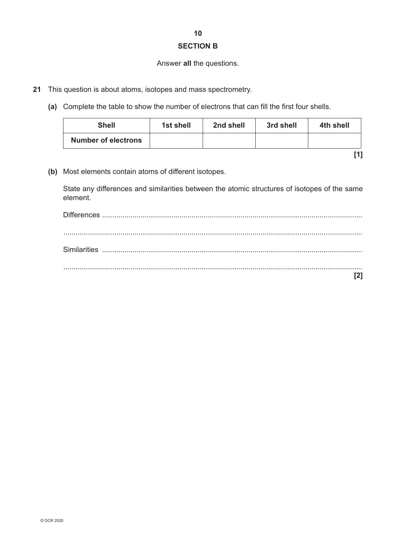#### **SECTION B**

#### Answer **all** the questions.

- **21** This question is about atoms, isotopes and mass spectrometry.
	- **(a)** Complete the table to show the number of electrons that can fill the first four shells.

| <b>Shell</b>               | 1st shell | 2nd shell | 3rd shell | 4th shell |
|----------------------------|-----------|-----------|-----------|-----------|
| <b>Number of electrons</b> |           |           |           |           |

**[1]**

**(b)** Most elements contain atoms of different isotopes.

State any differences and similarities between the atomic structures of isotopes of the same element.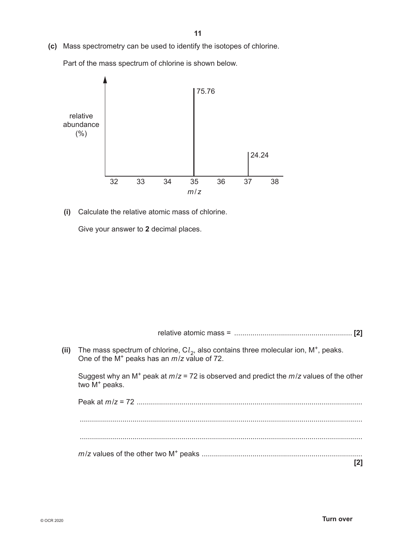**(c)** Mass spectrometry can be used to identify the isotopes of chlorine.

Part of the mass spectrum of chlorine is shown below.



 **(i)** Calculate the relative atomic mass of chlorine.

Give your answer to **2** decimal places.

relative atomic mass = .......................................................... **[2]**

(ii) The mass spectrum of chlorine,  $Cl<sub>2</sub>$ , also contains three molecular ion,  $M<sup>+</sup>$ , peaks. One of the M+ peaks has an *m*/*z* value of 72.

Suggest why an M+ peak at *m*/*z* = 72 is observed and predict the *m*/*z* values of the other two M<sup>+</sup> peaks.

Peak at *m*/*z* = 72 ............................................................................................................... ........................................................................................................................................... ........................................................................................................................................... *m*/*z* values of the other two M+ peaks ............................................................................... **[2]**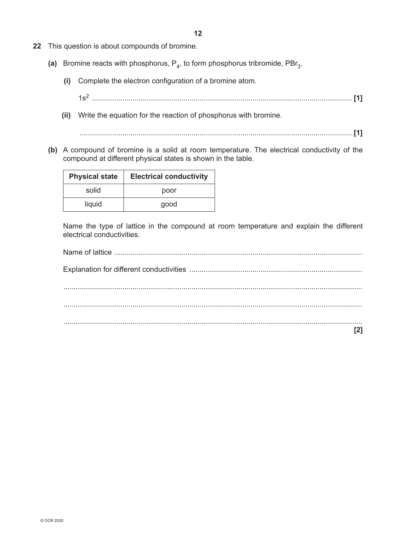- **22** This question is about compounds of bromine.
	- (a) Bromine reacts with phosphorus,  $P_A$ , to form phosphorus tribromide,  $PBr_3$ .
		- **(i)** Complete the electron configuration of a bromine atom.
			- 1s2 ................................................................................................................................ **[1]**
		- **(ii)** Write the equation for the reaction of phosphorus with bromine.
			- ...................................................................................................................................... **[1]**
	- **(b)** A compound of bromine is a solid at room temperature. The electrical conductivity of the compound at different physical states is shown in the table.

| <b>Physical state</b> | <b>Electrical conductivity</b> |
|-----------------------|--------------------------------|
| solid                 | poor                           |
| liquid                | good                           |

Name the type of lattice in the compound at room temperature and explain the different electrical conductivities.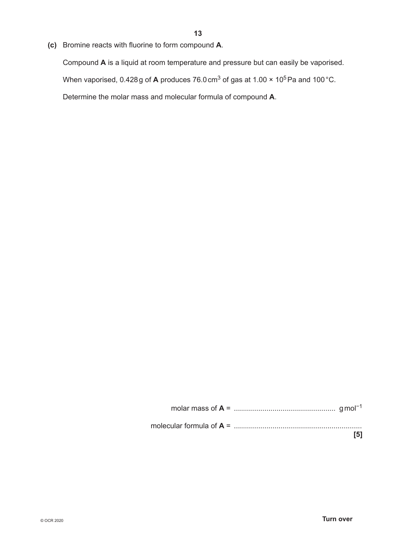**(c)** Bromine reacts with fluorine to form compound **A**.

Compound **A** is a liquid at room temperature and pressure but can easily be vaporised.

When vaporised, 0.428g of **A** produces 76.0cm<sup>3</sup> of gas at 1.00  $\times$  10<sup>5</sup>Pa and 100 °C.

Determine the molar mass and molecular formula of compound **A**.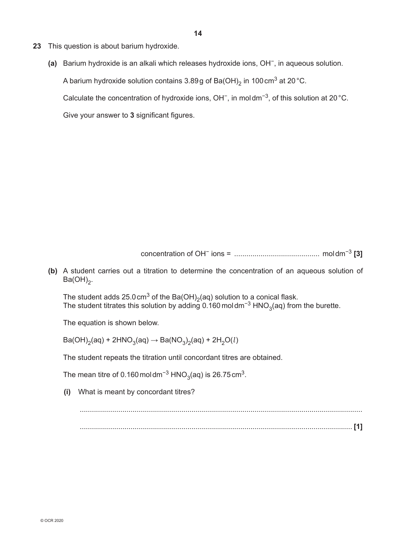- **23** This question is about barium hydroxide.
	- **(a)** Barium hydroxide is an alkali which releases hydroxide ions, OH−, in aqueous solution. A barium hydroxide solution contains  $3.89g$  of Ba(OH)<sub>2</sub> in 100 cm<sup>3</sup> at 20 °C. Calculate the concentration of hydroxide ions, OH−, in moldm−3, of this solution at 20°C. Give your answer to **3** significant figures.

concentration of OH− ions = .......................................... moldm−3 **[3]**

**(b)** A student carries out a titration to determine the concentration of an aqueous solution of  $Ba(OH)_{2}$ .

The student adds  $25.0 \text{ cm}^3$  of the Ba(OH)<sub>2</sub>(aq) solution to a conical flask. The student titrates this solution by adding 0.160 moldm<sup>−3</sup> HNO<sub>3</sub>(aq) from the burette.

The equation is shown below.

 $\mathsf{Ba(OH)}_2(\mathsf{aq}) + 2\mathsf{HNO}_3(\mathsf{aq}) \rightarrow \mathsf{Ba}(\mathsf{NO}_3)_2(\mathsf{aq}) + 2\mathsf{H}_2\mathsf{O}(l)$ 

The student repeats the titration until concordant titres are obtained.

The mean titre of 0.160 moldm<sup>-3</sup> HNO<sub>3</sub>(aq) is 26.75 cm<sup>3</sup>.

 **(i)** What is meant by concordant titres?

...................................................................................................................................... **[1]**

...........................................................................................................................................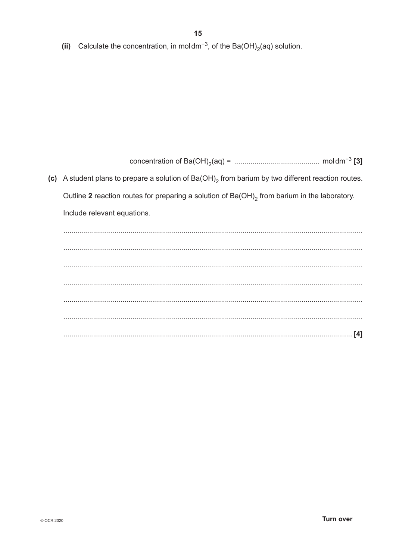(ii) Calculate the concentration, in moldm<sup>-3</sup>, of the Ba(OH)<sub>2</sub>(aq) solution.

(c) A student plans to prepare a solution of  $Ba(OH)_2$  from barium by two different reaction routes. Outline 2 reaction routes for preparing a solution of Ba(OH)<sub>2</sub> from barium in the laboratory. Include relevant equations.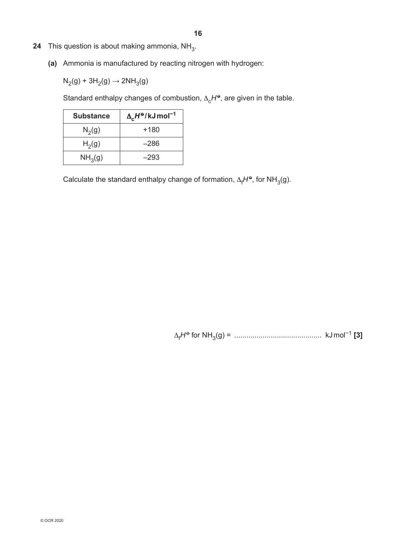- **24** This question is about making ammonia,  $NH_{3}$ .
	- **(a)** Ammonia is manufactured by reacting nitrogen with hydrogen:

 $N_2(g) + 3H_2(g) \rightarrow 2NH_3(g)$ 

Standard enthalpy changes of combustion,  $\Delta_c H^{\Theta}$ , are given in the table.

| <b>Substance</b>    | $\Delta_c H^{\Theta}/kJ$ mol <sup>-1</sup> |
|---------------------|--------------------------------------------|
| $N_2(g)$            | +180                                       |
| H <sub>2</sub> (g)  | $-286$                                     |
| NH <sub>3</sub> (g) | –293                                       |

Calculate the standard enthalpy change of formation,  $\Delta_f H^{\Theta}$ , for NH<sub>3</sub>(g).

∆<sub>f</sub>H<sup>ѳ</sup> for NH<sub>3</sub>(g) = …………………………………………… kJ mol<sup>−1</sup> [3]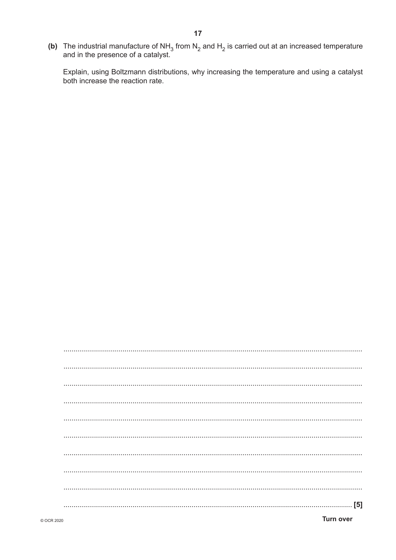(b) The industrial manufacture of NH<sub>3</sub> from N<sub>2</sub> and H<sub>2</sub> is carried out at an increased temperature and in the presence of a catalyst.

Explain, using Boltzmann distributions, why increasing the temperature and using a catalyst both increase the reaction rate.

| <b>Turn over</b> |
|------------------|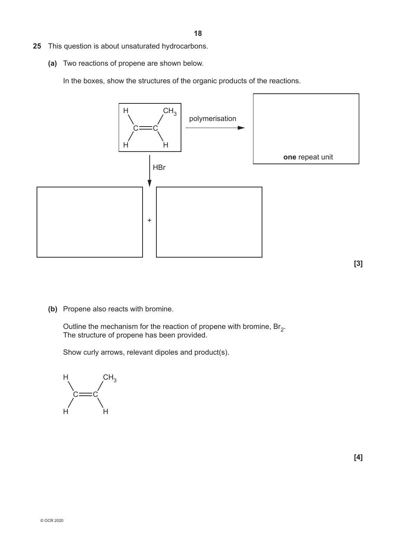- **25** This question is about unsaturated hydrocarbons.
	- **(a)** Two reactions of propene are shown below.

In the boxes, show the structures of the organic products of the reactions.



**(b)** Propene also reacts with bromine.

Outline the mechanism for the reaction of propene with bromine,  $Br<sub>2</sub>$ . The structure of propene has been provided.

Show curly arrows, relevant dipoles and product(s).

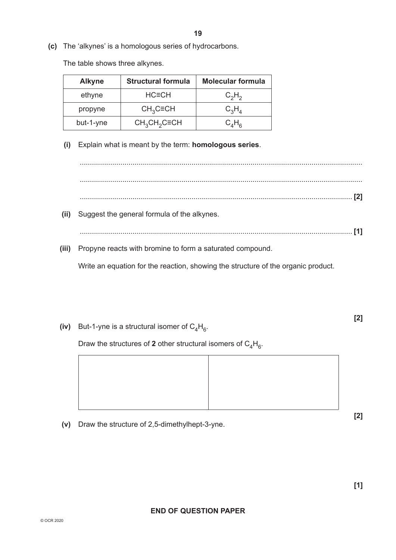**(c)** The 'alkynes' is a homologous series of hydrocarbons.

The table shows three alkynes.

| <b>Alkyne</b> | <b>Structural formula</b> | <b>Molecular formula</b> |
|---------------|---------------------------|--------------------------|
| ethyne        | $HC=CH$                   | $C_2H_2$                 |
| propyne       | $CH3C\equiv CH$           | $C_3H_A$                 |
| but-1-yne     | $CH3CH2C\equiv CH$        | $C_AH_{\rm R}$           |

 **(i)** Explain what is meant by the term: **homologous series**.

........................................................................................................................................... ........................................................................................................................................... ...................................................................................................................................... **[2] (ii)** Suggest the general formula of the alkynes. ...................................................................................................................................... **[1]**

 **(iii)** Propyne reacts with bromine to form a saturated compound.

Write an equation for the reaction, showing the structure of the organic product.

(iv) But-1-yne is a structural isomer of  $C_4H_6$ .

Draw the structures of 2 other structural isomers of  $C_4H_6$ .



**[2]**

**[2]**